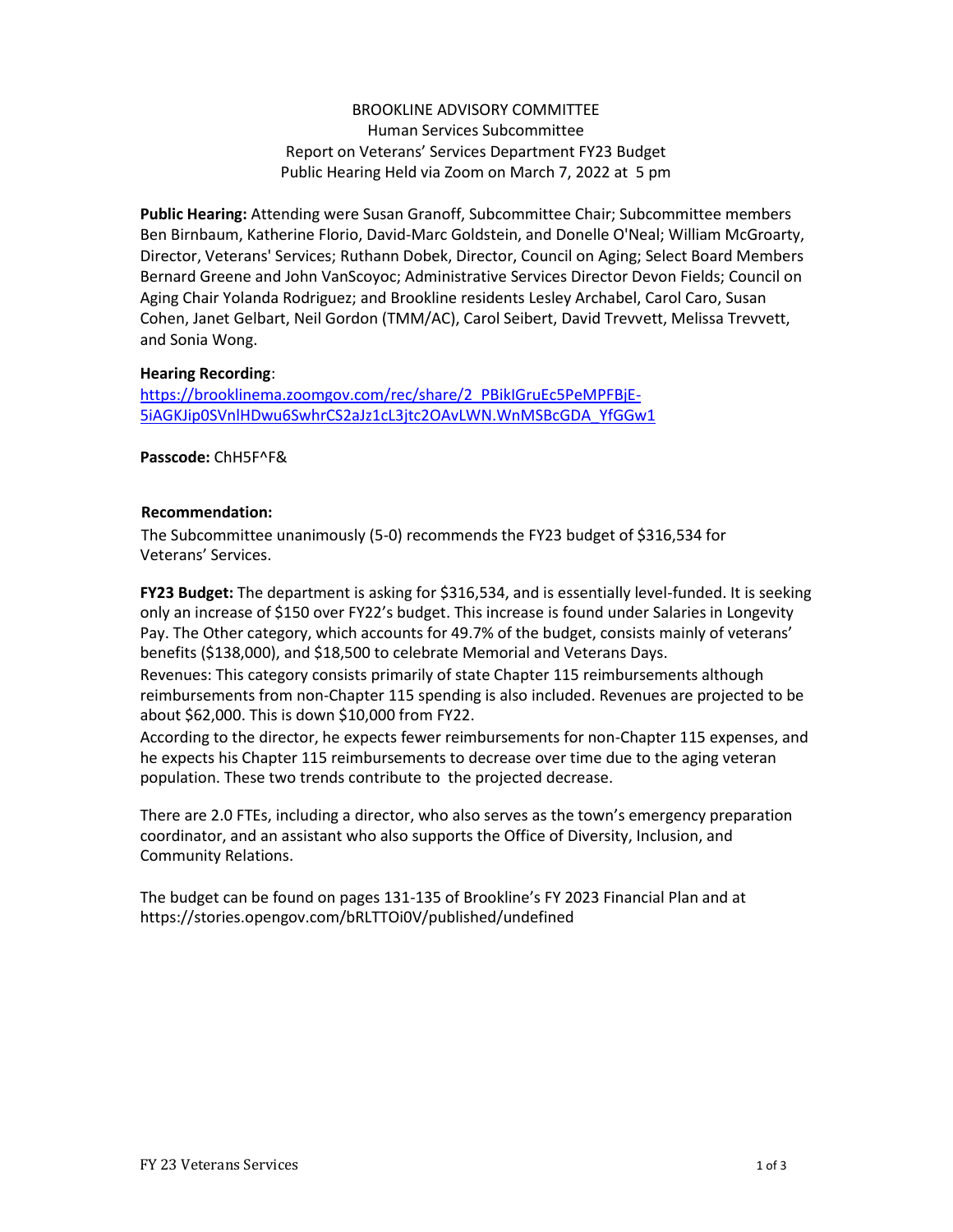# BROOKLINE ADVISORY COMMITTEE Human Services Subcommittee Report on Veterans' Services Department FY23 Budget Public Hearing Held via Zoom on March 7, 2022 at 5 pm

**Public Hearing:** Attending were Susan Granoff, Subcommittee Chair; Subcommittee members Ben Birnbaum, Katherine Florio, David-Marc Goldstein, and Donelle O'Neal; William McGroarty, Director, Veterans' Services; Ruthann Dobek, Director, Council on Aging; Select Board Members Bernard Greene and John VanScoyoc; Administrative Services Director Devon Fields; Council on Aging Chair Yolanda Rodriguez; and Brookline residents Lesley Archabel, Carol Caro, Susan Cohen, Janet Gelbart, Neil Gordon (TMM/AC), Carol Seibert, David Trevvett, Melissa Trevvett, and Sonia Wong.

## **Hearing Recording**:

[https://brooklinema.zoomgov.com/rec/share/2\\_PBikIGruEc5PeMPFBjE-](https://brooklinema.zoomgov.com/rec/share/2_PBikIGruEc5PeMPFBjE-5iAGKJip0SVnlHDwu6SwhrCS2aJz1cL3jtc2OAvLWN.WnMSBcGDA_YfGGw1)[5iAGKJip0SVnlHDwu6SwhrCS2aJz1cL3jtc2OAvLWN.WnMSBcGDA\\_YfGGw1](https://brooklinema.zoomgov.com/rec/share/2_PBikIGruEc5PeMPFBjE-5iAGKJip0SVnlHDwu6SwhrCS2aJz1cL3jtc2OAvLWN.WnMSBcGDA_YfGGw1)

**Passcode:** ChH5F^F&

# **Recommendation:**

The Subcommittee unanimously (5-0) recommends the FY23 budget of \$316,534 for Veterans' Services.

**FY23 Budget:** The department is asking for \$316,534, and is essentially level-funded. It is seeking only an increase of \$150 over FY22's budget. This increase is found under Salaries in Longevity Pay. The Other category, which accounts for 49.7% of the budget, consists mainly of veterans' benefits (\$138,000), and \$18,500 to celebrate Memorial and Veterans Days.

Revenues: This category consists primarily of state Chapter 115 reimbursements although reimbursements from non-Chapter 115 spending is also included. Revenues are projected to be about \$62,000. This is down \$10,000 from FY22.

According to the director, he expects fewer reimbursements for non-Chapter 115 expenses, and he expects his Chapter 115 reimbursements to decrease over time due to the aging veteran population. These two trends contribute to the projected decrease.

There are 2.0 FTEs, including a director, who also serves as the town's emergency preparation coordinator, and an assistant who also supports the Office of Diversity, Inclusion, and Community Relations.

The budget can be found on pages 131-135 of Brookline's FY 2023 Financial Plan and at https://stories.opengov.com/bRLTTOi0V/published/undefined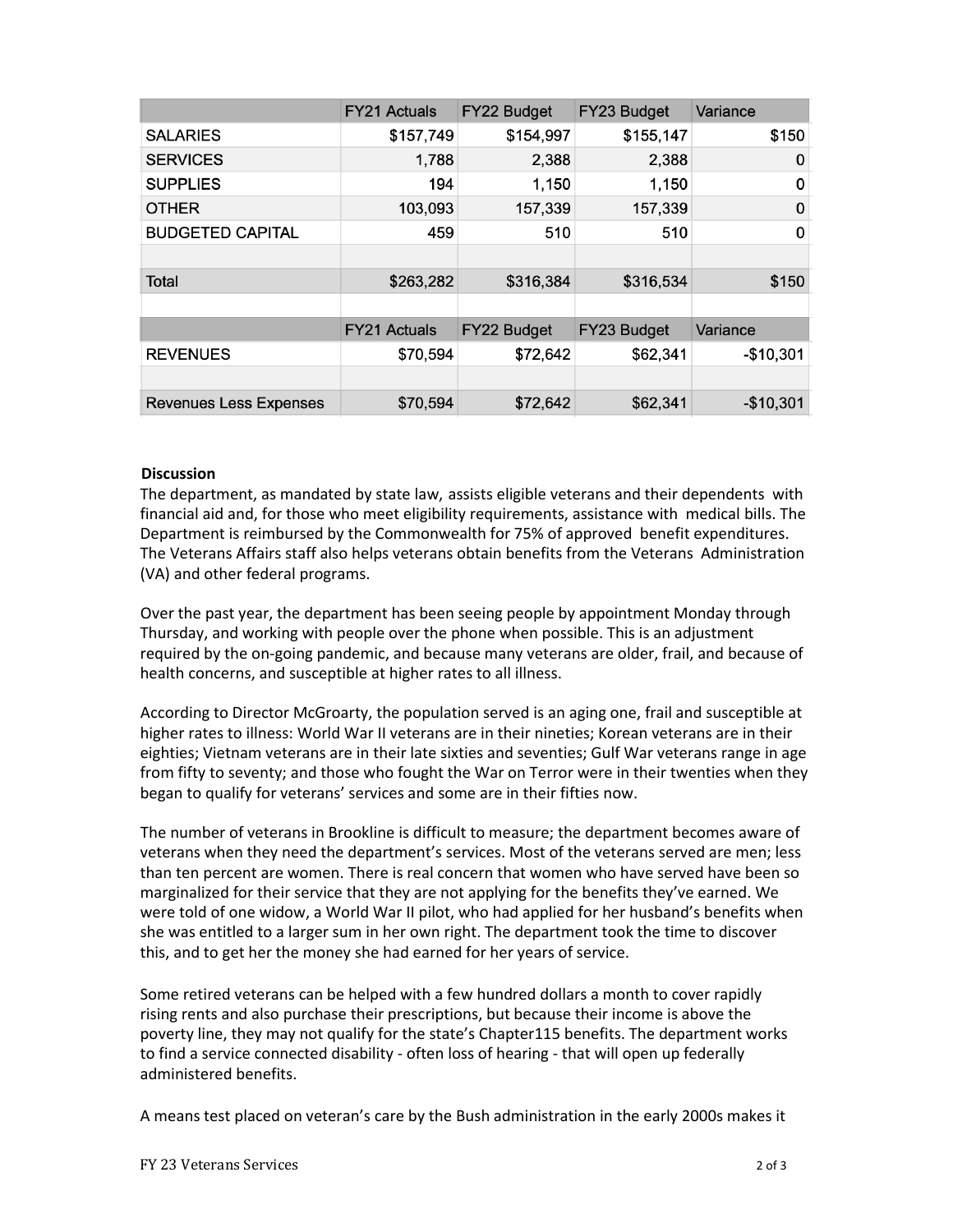|                               | <b>FY21 Actuals</b> | FY22 Budget | FY23 Budget | Variance   |
|-------------------------------|---------------------|-------------|-------------|------------|
| <b>SALARIES</b>               | \$157,749           | \$154,997   | \$155,147   | \$150      |
| <b>SERVICES</b>               | 1,788               | 2,388       | 2,388       | 0          |
| <b>SUPPLIES</b>               | 194                 | 1,150       | 1,150       | 0          |
| <b>OTHER</b>                  | 103,093             | 157,339     | 157,339     | 0          |
| <b>BUDGETED CAPITAL</b>       | 459                 | 510         | 510         | 0          |
|                               |                     |             |             |            |
| <b>Total</b>                  | \$263,282           | \$316,384   | \$316,534   | \$150      |
|                               |                     |             |             |            |
|                               | <b>FY21 Actuals</b> | FY22 Budget | FY23 Budget | Variance   |
| <b>REVENUES</b>               | \$70,594            | \$72,642    | \$62,341    | $-$10,301$ |
|                               |                     |             |             |            |
| <b>Revenues Less Expenses</b> | \$70,594            | \$72,642    | \$62,341    | $-$10,301$ |

#### **Discussion**

The department, as mandated by state law, assists eligible veterans and their dependents with financial aid and, for those who meet eligibility requirements, assistance with medical bills. The Department is reimbursed by the Commonwealth for 75% of approved benefit expenditures. The Veterans Affairs staff also helps veterans obtain benefits from the Veterans Administration (VA) and other federal programs.

Over the past year, the department has been seeing people by appointment Monday through Thursday, and working with people over the phone when possible. This is an adjustment required by the on-going pandemic, and because many veterans are older, frail, and because of health concerns, and susceptible at higher rates to all illness.

According to Director McGroarty, the population served is an aging one, frail and susceptible at higher rates to illness: World War II veterans are in their nineties; Korean veterans are in their eighties; Vietnam veterans are in their late sixties and seventies; Gulf War veterans range in age from fifty to seventy; and those who fought the War on Terror were in their twenties when they began to qualify for veterans' services and some are in their fifties now.

The number of veterans in Brookline is difficult to measure; the department becomes aware of veterans when they need the department's services. Most of the veterans served are men; less than ten percent are women. There is real concern that women who have served have been so marginalized for their service that they are not applying for the benefits they've earned. We were told of one widow, a World War II pilot, who had applied for her husband's benefits when she was entitled to a larger sum in her own right. The department took the time to discover this, and to get her the money she had earned for her years of service.

Some retired veterans can be helped with a few hundred dollars a month to cover rapidly rising rents and also purchase their prescriptions, but because their income is above the poverty line, they may not qualify for the state's Chapter115 benefits. The department works to find a service connected disability - often loss of hearing - that will open up federally administered benefits.

A means test placed on veteran's care by the Bush administration in the early 2000s makes it